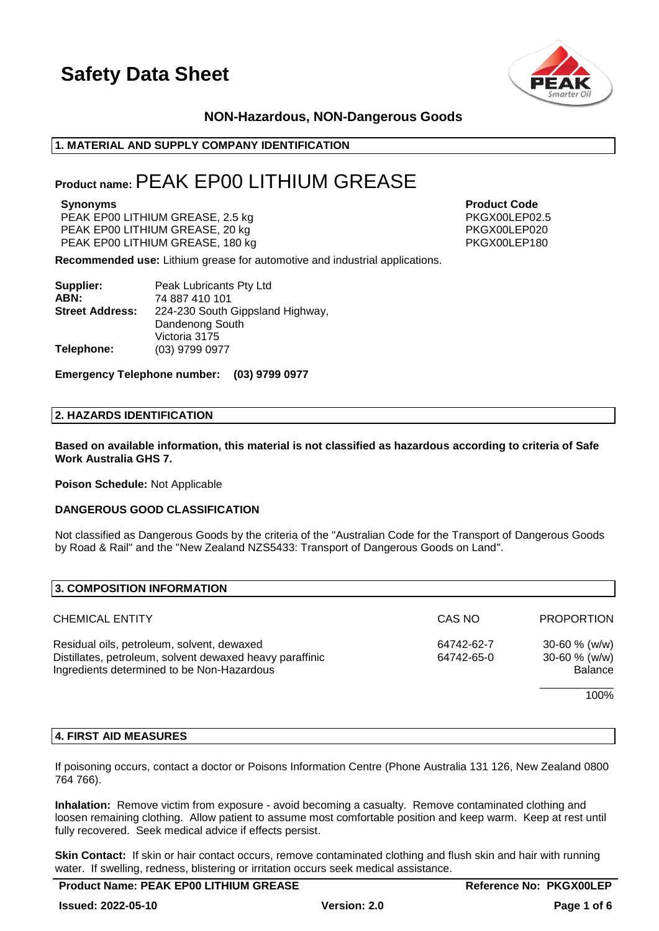

### **NON-Hazardous, NON-Dangerous Goods**

### **1. MATERIAL AND SUPPLY COMPANY IDENTIFICATION**

### **Product name:**PEAK EP00 LITHIUM GREASE

PEAK EP00 LITHIUM GREASE, 2.5 kg extended to the person of PKGX00LEP02.5 PEAK EP00 LITHIUM GREASE, 20 kg PEAK EP00 LITHIUM GREASE, 180 kg PKGX00LEP180

**Synonyms Product Code**

**Recommended use:** Lithium grease for automotive and industrial applications.

| Supplier:              | Peak Lubricants Pty Ltd          |  |  |
|------------------------|----------------------------------|--|--|
| ABN:                   | 74 887 410 101                   |  |  |
| <b>Street Address:</b> | 224-230 South Gippsland Highway, |  |  |
|                        | Dandenong South                  |  |  |
|                        | Victoria 3175                    |  |  |
| Telephone:             | (03) 9799 0977                   |  |  |

**Emergency Telephone number: (03) 9799 0977**

### **2. HAZARDS IDENTIFICATION**

**Based on available information, this material is not classified as hazardous according to criteria of Safe Work Australia GHS 7.**

**Poison Schedule:** Not Applicable

### **DANGEROUS GOOD CLASSIFICATION**

Not classified as Dangerous Goods by the criteria of the "Australian Code for the Transport of Dangerous Goods by Road & Rail" and the "New Zealand NZS5433: Transport of Dangerous Goods on Land".

| CAS NO     | <b>PROPORTION</b>                   |
|------------|-------------------------------------|
| 64742-62-7 | $30 - 60 \%$ (w/w)                  |
| 64742-65-0 | $30 - 60$ % (w/w)<br><b>Balance</b> |
|            | 100%                                |
|            |                                     |

### **4. FIRST AID MEASURES**

If poisoning occurs, contact a doctor or Poisons Information Centre (Phone Australia 131 126, New Zealand 0800 764 766).

**Inhalation:** Remove victim from exposure - avoid becoming a casualty. Remove contaminated clothing and loosen remaining clothing. Allow patient to assume most comfortable position and keep warm. Keep at rest until fully recovered. Seek medical advice if effects persist.

**Skin Contact:** If skin or hair contact occurs, remove contaminated clothing and flush skin and hair with running water. If swelling, redness, blistering or irritation occurs seek medical assistance.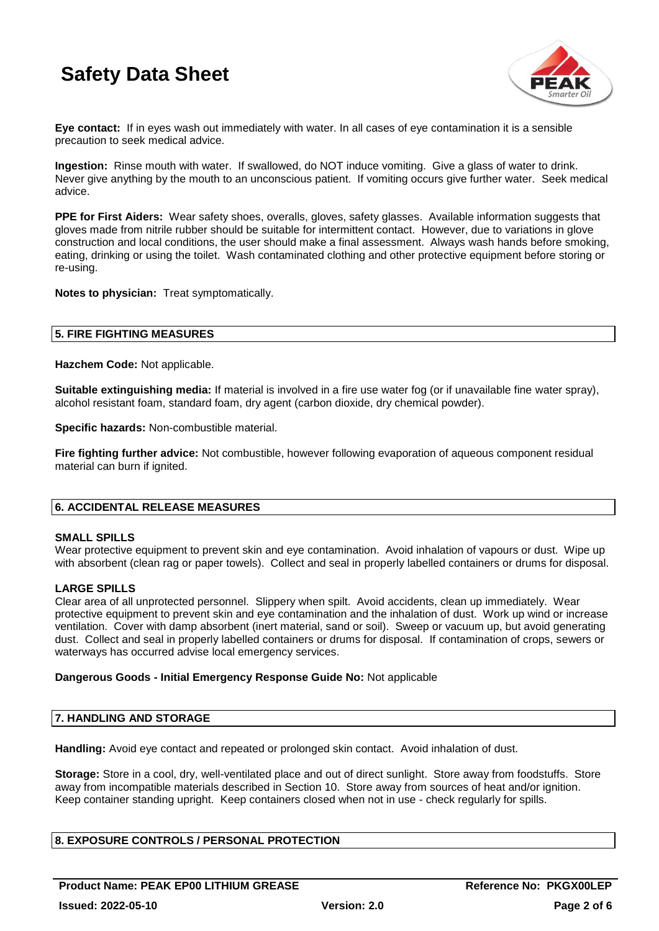

**Eye contact:** If in eyes wash out immediately with water. In all cases of eye contamination it is a sensible precaution to seek medical advice.

**Ingestion:** Rinse mouth with water. If swallowed, do NOT induce vomiting. Give a glass of water to drink. Never give anything by the mouth to an unconscious patient. If vomiting occurs give further water. Seek medical advice.

**PPE for First Aiders:** Wear safety shoes, overalls, gloves, safety glasses. Available information suggests that gloves made from nitrile rubber should be suitable for intermittent contact. However, due to variations in glove construction and local conditions, the user should make a final assessment. Always wash hands before smoking, eating, drinking or using the toilet. Wash contaminated clothing and other protective equipment before storing or re-using.

**Notes to physician:** Treat symptomatically.

### **5. FIRE FIGHTING MEASURES**

**Hazchem Code:** Not applicable.

**Suitable extinguishing media:** If material is involved in a fire use water fog (or if unavailable fine water spray), alcohol resistant foam, standard foam, dry agent (carbon dioxide, dry chemical powder).

**Specific hazards:** Non-combustible material.

**Fire fighting further advice:** Not combustible, however following evaporation of aqueous component residual material can burn if ignited.

### **6. ACCIDENTAL RELEASE MEASURES**

### **SMALL SPILLS**

Wear protective equipment to prevent skin and eye contamination. Avoid inhalation of vapours or dust. Wipe up with absorbent (clean rag or paper towels). Collect and seal in properly labelled containers or drums for disposal.

### **LARGE SPILLS**

Clear area of all unprotected personnel. Slippery when spilt. Avoid accidents, clean up immediately. Wear protective equipment to prevent skin and eye contamination and the inhalation of dust. Work up wind or increase ventilation. Cover with damp absorbent (inert material, sand or soil). Sweep or vacuum up, but avoid generating dust. Collect and seal in properly labelled containers or drums for disposal. If contamination of crops, sewers or waterways has occurred advise local emergency services.

### **Dangerous Goods - Initial Emergency Response Guide No:** Not applicable

### **7. HANDLING AND STORAGE**

**Handling:** Avoid eye contact and repeated or prolonged skin contact. Avoid inhalation of dust.

**Storage:** Store in a cool, dry, well-ventilated place and out of direct sunlight. Store away from foodstuffs. Store away from incompatible materials described in Section 10. Store away from sources of heat and/or ignition. Keep container standing upright. Keep containers closed when not in use - check regularly for spills.

### **8. EXPOSURE CONTROLS / PERSONAL PROTECTION**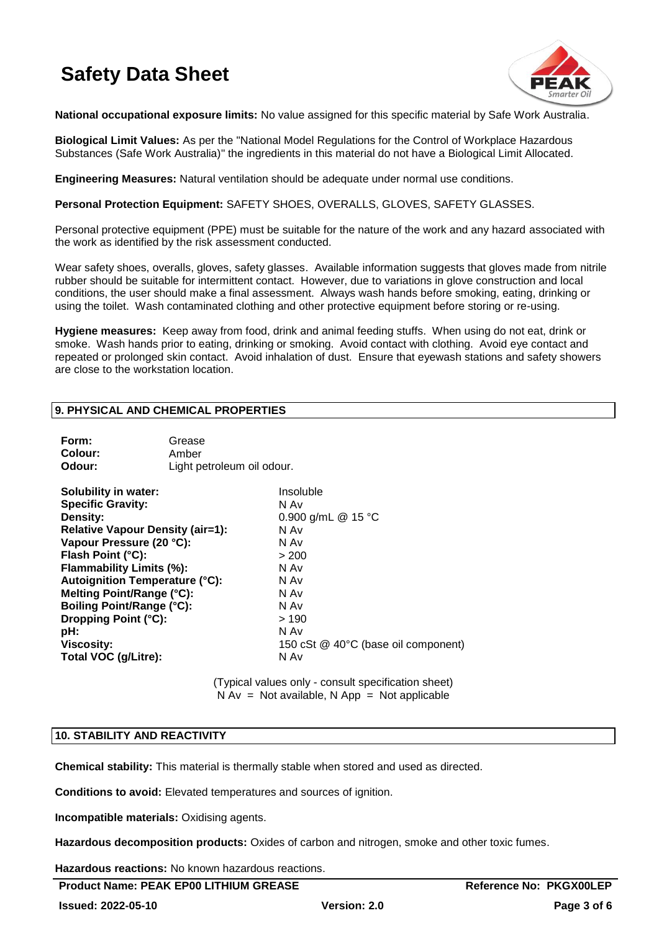

**National occupational exposure limits:** No value assigned for this specific material by Safe Work Australia.

**Biological Limit Values:** As per the "National Model Regulations for the Control of Workplace Hazardous Substances (Safe Work Australia)" the ingredients in this material do not have a Biological Limit Allocated.

**Engineering Measures:** Natural ventilation should be adequate under normal use conditions.

**Personal Protection Equipment:** SAFETY SHOES, OVERALLS, GLOVES, SAFETY GLASSES.

Personal protective equipment (PPE) must be suitable for the nature of the work and any hazard associated with the work as identified by the risk assessment conducted.

Wear safety shoes, overalls, gloves, safety glasses. Available information suggests that gloves made from nitrile rubber should be suitable for intermittent contact. However, due to variations in glove construction and local conditions, the user should make a final assessment. Always wash hands before smoking, eating, drinking or using the toilet. Wash contaminated clothing and other protective equipment before storing or re-using.

**Hygiene measures:** Keep away from food, drink and animal feeding stuffs. When using do not eat, drink or smoke. Wash hands prior to eating, drinking or smoking. Avoid contact with clothing. Avoid eye contact and repeated or prolonged skin contact. Avoid inhalation of dust. Ensure that eyewash stations and safety showers are close to the workstation location.

### **9. PHYSICAL AND CHEMICAL PROPERTIES**

| Form:<br>Colour:<br>Odour:                                                                                                                                                                                                                                                                                                                                          | Grease<br>Amber<br>Light petroleum oil odour. |                                                                                                                                                                 |
|---------------------------------------------------------------------------------------------------------------------------------------------------------------------------------------------------------------------------------------------------------------------------------------------------------------------------------------------------------------------|-----------------------------------------------|-----------------------------------------------------------------------------------------------------------------------------------------------------------------|
| <b>Solubility in water:</b><br><b>Specific Gravity:</b><br>Density:<br>Relative Vapour Density (air=1):<br>Vapour Pressure (20 °C):<br>Flash Point (°C):<br>Flammability Limits (%):<br>Autoignition Temperature (°C):<br>Melting Point/Range (°C):<br><b>Boiling Point/Range (°C):</b><br>Dropping Point (°C):<br>pH:<br><b>Viscosity:</b><br>Total VOC (g/Litre): |                                               | Insoluble<br>N Av<br>0.900 g/mL @ 15 °C<br>N Av<br>N Av<br>> 200<br>N Av<br>N Av<br>N Av<br>N Av<br>>190<br>N Av<br>150 cSt @ 40°C (base oil component)<br>N Av |
|                                                                                                                                                                                                                                                                                                                                                                     |                                               |                                                                                                                                                                 |

(Typical values only - consult specification sheet)  $N Av = Not available$ . N App = Not applicable

### **10. STABILITY AND REACTIVITY**

**Chemical stability:** This material is thermally stable when stored and used as directed.

**Conditions to avoid:** Elevated temperatures and sources of ignition.

**Incompatible materials:** Oxidising agents.

**Hazardous decomposition products:** Oxides of carbon and nitrogen, smoke and other toxic fumes.

**Hazardous reactions:** No known hazardous reactions.

**Product Name: PEAK EP00 LITHIUM GREASE And Accord Accord PROMISSION Reference No: PKGX00LEP**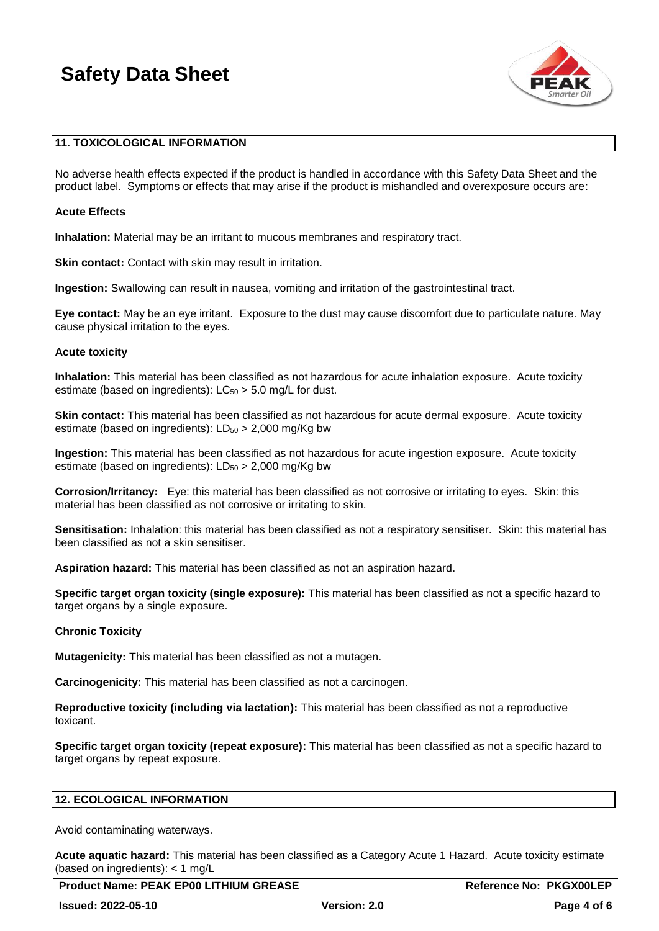

### **11. TOXICOLOGICAL INFORMATION**

No adverse health effects expected if the product is handled in accordance with this Safety Data Sheet and the product label. Symptoms or effects that may arise if the product is mishandled and overexposure occurs are:

### **Acute Effects**

**Inhalation:** Material may be an irritant to mucous membranes and respiratory tract.

**Skin contact:** Contact with skin may result in irritation.

**Ingestion:** Swallowing can result in nausea, vomiting and irritation of the gastrointestinal tract.

**Eye contact:** May be an eye irritant. Exposure to the dust may cause discomfort due to particulate nature. May cause physical irritation to the eyes.

### **Acute toxicity**

**Inhalation:** This material has been classified as not hazardous for acute inhalation exposure. Acute toxicity estimate (based on ingredients):  $LC_{50} > 5.0$  mg/L for dust.

**Skin contact:** This material has been classified as not hazardous for acute dermal exposure. Acute toxicity estimate (based on ingredients):  $LD_{50} > 2,000$  mg/Kg bw

**Ingestion:** This material has been classified as not hazardous for acute ingestion exposure. Acute toxicity estimate (based on ingredients):  $LD_{50} > 2,000$  mg/Kg bw

**Corrosion/Irritancy:** Eye: this material has been classified as not corrosive or irritating to eyes. Skin: this material has been classified as not corrosive or irritating to skin.

**Sensitisation:** Inhalation: this material has been classified as not a respiratory sensitiser. Skin: this material has been classified as not a skin sensitiser.

**Aspiration hazard:** This material has been classified as not an aspiration hazard.

**Specific target organ toxicity (single exposure):** This material has been classified as not a specific hazard to target organs by a single exposure.

### **Chronic Toxicity**

**Mutagenicity:** This material has been classified as not a mutagen.

**Carcinogenicity:** This material has been classified as not a carcinogen.

**Reproductive toxicity (including via lactation):** This material has been classified as not a reproductive toxicant.

**Specific target organ toxicity (repeat exposure):** This material has been classified as not a specific hazard to target organs by repeat exposure.

### **12. ECOLOGICAL INFORMATION**

Avoid contaminating waterways.

**Acute aquatic hazard:** This material has been classified as a Category Acute 1 Hazard. Acute toxicity estimate (based on ingredients): < 1 mg/L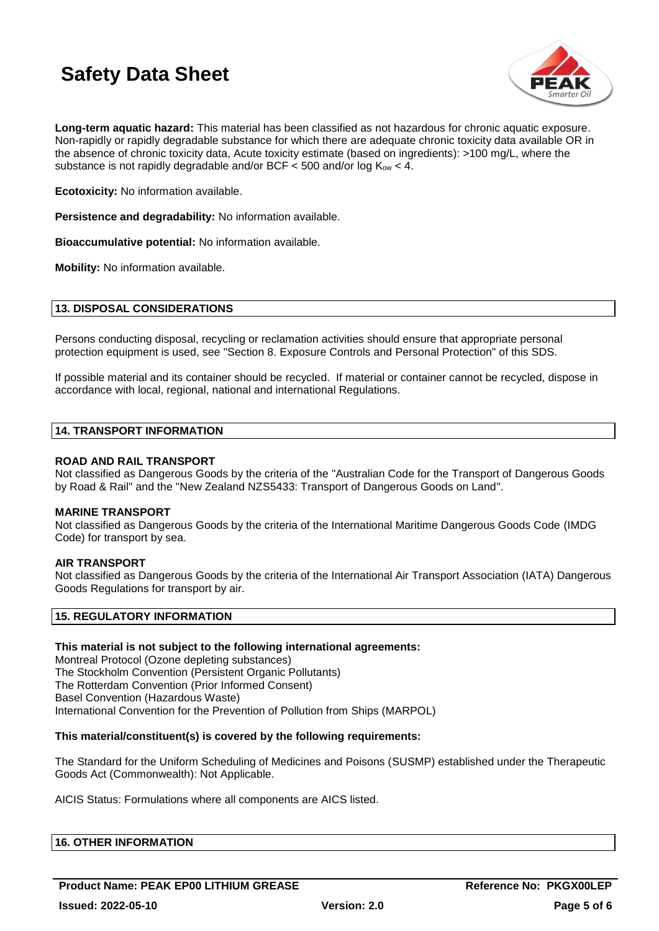

**Long-term aquatic hazard:** This material has been classified as not hazardous for chronic aquatic exposure. Non-rapidly or rapidly degradable substance for which there are adequate chronic toxicity data available OR in the absence of chronic toxicity data, Acute toxicity estimate (based on ingredients): >100 mg/L, where the substance is not rapidly degradable and/or BCF  $\lt$  500 and/or log  $K_{ow} \lt$  4.

**Ecotoxicity:** No information available.

**Persistence and degradability:** No information available.

**Bioaccumulative potential:** No information available.

**Mobility:** No information available.

### **13. DISPOSAL CONSIDERATIONS**

Persons conducting disposal, recycling or reclamation activities should ensure that appropriate personal protection equipment is used, see "Section 8. Exposure Controls and Personal Protection" of this SDS.

If possible material and its container should be recycled. If material or container cannot be recycled, dispose in accordance with local, regional, national and international Regulations.

### **14. TRANSPORT INFORMATION**

### **ROAD AND RAIL TRANSPORT**

Not classified as Dangerous Goods by the criteria of the "Australian Code for the Transport of Dangerous Goods by Road & Rail" and the "New Zealand NZS5433: Transport of Dangerous Goods on Land".

### **MARINE TRANSPORT**

Not classified as Dangerous Goods by the criteria of the International Maritime Dangerous Goods Code (IMDG Code) for transport by sea.

### **AIR TRANSPORT**

Not classified as Dangerous Goods by the criteria of the International Air Transport Association (IATA) Dangerous Goods Regulations for transport by air.

### **15. REGULATORY INFORMATION**

### **This material is not subject to the following international agreements:**

Montreal Protocol (Ozone depleting substances) The Stockholm Convention (Persistent Organic Pollutants) The Rotterdam Convention (Prior Informed Consent) Basel Convention (Hazardous Waste) International Convention for the Prevention of Pollution from Ships (MARPOL)

### **This material/constituent(s) is covered by the following requirements:**

The Standard for the Uniform Scheduling of Medicines and Poisons (SUSMP) established under the Therapeutic Goods Act (Commonwealth): Not Applicable.

AICIS Status: Formulations where all components are AICS listed.

| <b>16. OTHER INFORMATION</b> |
|------------------------------|
|------------------------------|